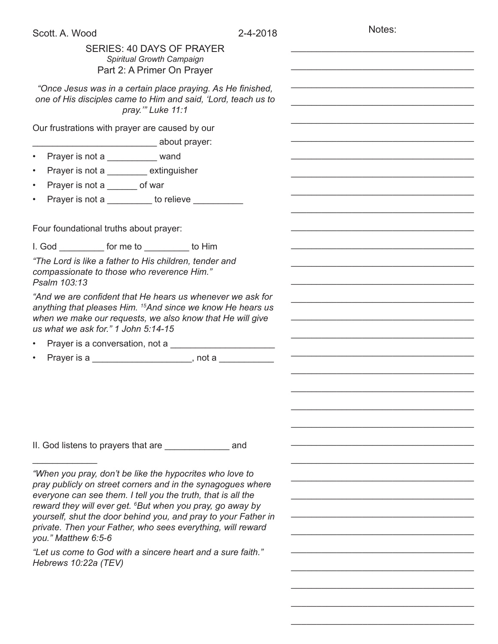Notes:

\_\_\_\_\_\_\_\_\_\_\_\_\_\_\_\_\_\_\_\_\_\_\_\_\_\_\_\_\_\_\_\_\_\_\_\_

\_\_\_\_\_\_\_\_\_\_\_\_\_\_\_\_\_\_\_\_\_\_\_\_\_\_\_\_\_\_\_\_\_\_\_\_

| SERIES: 40 DAYS OF PRAYER<br>Spiritual Growth Campaign                                                                                                                                                                                   |  |
|------------------------------------------------------------------------------------------------------------------------------------------------------------------------------------------------------------------------------------------|--|
| Part 2: A Primer On Prayer                                                                                                                                                                                                               |  |
| "Once Jesus was in a certain place praying. As He finished,<br>one of His disciples came to Him and said, 'Lord, teach us to<br>pray."" Luke 11:1                                                                                        |  |
| Our frustrations with prayer are caused by our                                                                                                                                                                                           |  |
|                                                                                                                                                                                                                                          |  |
| Prayer is not a __________ wand<br>$\bullet$                                                                                                                                                                                             |  |
| Prayer is not a ________ extinguisher<br>$\bullet$                                                                                                                                                                                       |  |
| Prayer is not a ______ of war<br>$\bullet$                                                                                                                                                                                               |  |
| Prayer is not a __________ to relieve ________<br>$\bullet$                                                                                                                                                                              |  |
|                                                                                                                                                                                                                                          |  |
| Four foundational truths about prayer:                                                                                                                                                                                                   |  |
| I. God for me to to Him                                                                                                                                                                                                                  |  |
| "The Lord is like a father to His children, tender and                                                                                                                                                                                   |  |
| compassionate to those who reverence Him."<br>Psalm 103:13                                                                                                                                                                               |  |
| "And we are confident that He hears us whenever we ask for<br>anything that pleases Him. <sup>15</sup> And since we know He hears us<br>when we make our requests, we also know that He will give<br>us what we ask for." 1 John 5:14-15 |  |
|                                                                                                                                                                                                                                          |  |
| Prayer is a _________________________, not a _____________<br>$\bullet$                                                                                                                                                                  |  |
|                                                                                                                                                                                                                                          |  |
|                                                                                                                                                                                                                                          |  |
|                                                                                                                                                                                                                                          |  |
|                                                                                                                                                                                                                                          |  |
|                                                                                                                                                                                                                                          |  |
|                                                                                                                                                                                                                                          |  |
| "When you pray, don't be like the hypocrites who love to                                                                                                                                                                                 |  |
| pray publicly on street corners and in the synagogues where<br>everyone can see them. I tell you the truth, that is all the                                                                                                              |  |
| reward they will ever get. <sup>6</sup> But when you pray, go away by<br>yourself, shut the door behind you, and pray to your Father in                                                                                                  |  |
| private. Then your Father, who sees everything, will reward<br>you." Matthew 6:5-6                                                                                                                                                       |  |
| "Let us come to God with a sincere heart and a sure faith."                                                                                                                                                                              |  |
| Hebrews 10:22a (TEV)                                                                                                                                                                                                                     |  |
|                                                                                                                                                                                                                                          |  |